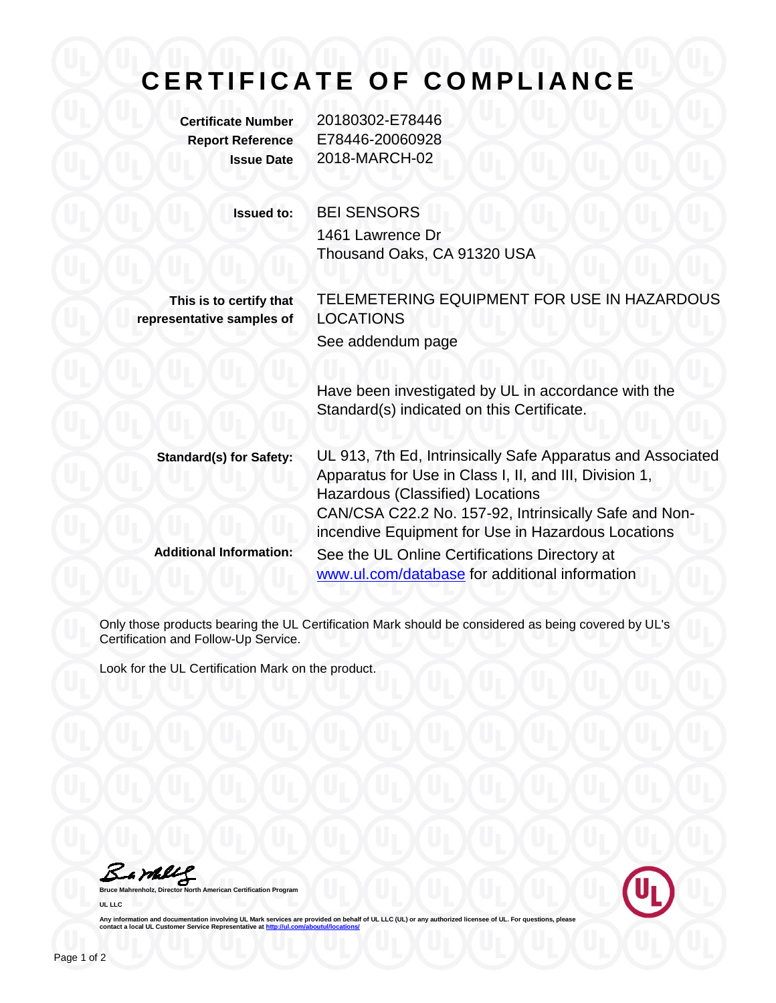## **C E R T I F I C A T E O F C O M P L I A N C E**

**Certificate Number** 20180302-E78446 **Report Reference** E78446-20060928 **Issue Date** 2018-MARCH-02 **Issued to:** BEI SENSORS 1461 Lawrence Dr Thousand Oaks, CA 91320 USA **This is to certify that**

**representative samples of**

TELEMETERING EQUIPMENT FOR USE IN HAZARDOUS LOCATIONS See addendum page

Have been investigated by UL in accordance with the Standard(s) indicated on this Certificate.

**Standard(s) for Safety:** UL 913, 7th Ed, Intrinsically Safe Apparatus and Associated Apparatus for Use in Class I, II, and III, Division 1, Hazardous (Classified) Locations CAN/CSA C22.2 No. 157-92, Intrinsically Safe and Nonincendive Equipment for Use in Hazardous Locations **Additional Information:** See the UL Online Certifications Directory at [www.ul.com/database](http://www.ul.com/database) for additional information

Only those products bearing the UL Certification Mark should be considered as being covered by UL's Certification and Follow-Up Service.

Look for the UL Certification Mark on the product.

Bamblel

**Bruce Mahrenholz, Director North American Certification Program UL LLC**



Any information and documentation involving UL Mark services are provided on behalf of UL LLC (UL) or any authorized licensee of UL. For questions, please<br>contact a local UL Customer Service Representative at <u>http://ul.co</u>